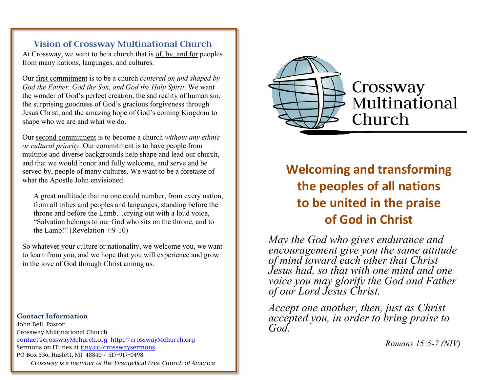# **Vision of Crossway Multinational Church**

At Crossway, we want to be a church that is of, by, and for peoples from many nations, languages, and cultures.

Our first commitment is to be a church *centered on and shaped by God the Father, God the Son, and God the Holy Spirit*. We want the wonder of God's perfect creation, the sad reality of human sin, the surprising goodness of God's gracious forgiveness through Jesus Christ, and the amazing hope of God's coming Kingdom to shape who we are and what we do.

Our second commitment is to become a church *without any ethnic or cultural priority*. Our commitment is to have people from multiple and diverse backgrounds help shape and lead our church, and that we would honor and fully welcome, and serve and be served by, people of many cultures. We want to be a foretaste of what the Apostle John envisioned:

A great multitude that no one could number, from every nation, from all tribes and peoples and languages, standing before the throne and before the Lamb…crying out with a loud voice, "Salvation belongs to our God who sits on the throne, and to the Lamb!" (Revelation 7:9-10)

So whatever your culture or nationality, we welcome you, we want to learn from you, and we hope that you will experience and grow in the love of God through Christ among us.

**Contact Information**  John Bell, Pastor Crossway Multinational Church contact@crosswayMchurch.org http://crosswayMchurch.org Sermons on iTunes at tiny.cc/crosswaysermons PO Box 536, Haslett, MI 48840 / 517-917-0498 *Crossway is a member of the Evangelical Free Church of America*



# **Welcoming and transforming the peoples of all nations to be united in the praise of God in Christ**

*May the God who gives endurance and encouragement give you the same attitude of mind toward each other that Christ Jesus had, so that with one mind and one voice you may glorify the God and Father of our Lord Jesus Christ.*

*Accept one another, then, just as Christ accepted you, in order to bring praise to God.*

*Romans 15:5-7 (NIV)*